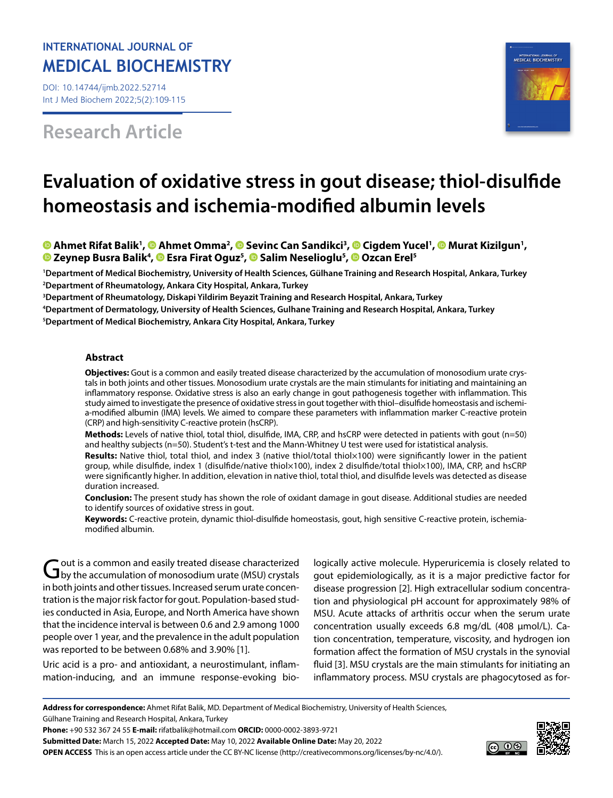# **INTERNATIONAL JOURNAL OF MEDICAL BIOCHEMISTRY**

DOI: 10.14744/ijmb.2022.52714 Int J Med Biochem 2022;5(2):109-115

**Research Article**



# **Evaluation of oxidative stress in gout disease; thiol-disulfide homeostasis and ischemia-modified albumin levels**

# AhmetRifat Balik<sup>1</sup>, <sup>®</sup> Ahmet Omma<sup>2</sup>, <sup>®</sup> Sevinc [C](https://orcid.org/0000-0003-2647-440X)an Sandikci<sup>3</sup>, ® Cigdem Yucel<sup>1</sup>, ® Murat Kizilgun<sup>1</sup>, **Zeynep Busra Balik4 , [E](https://orcid.org/0000-0002-8147-5379)sra Firat Oguz5 ,Salim Neselioglu5 ,Ozcan Erel5**

 **Department of Medical Biochemistry, University of Health Sciences, Gülhane Training and Research Hospital, Ankara, Turkey Department of Rheumatology, Ankara City Hospital, Ankara, Turkey Department of Rheumatology, Diskapi Yildirim Beyazit Training and Research Hospital, Ankara, Turkey Department of Dermatology, University of Health Sciences, Gulhane Training and Research Hospital, Ankara, Turkey**

**5 Department of Medical Biochemistry, Ankara City Hospital, Ankara, Turkey**

#### **Abstract**

**Objectives:** Gout is a common and easily treated disease characterized by the accumulation of monosodium urate crystals in both joints and other tissues. Monosodium urate crystals are the main stimulants for initiating and maintaining an inflammatory response. Oxidative stress is also an early change in gout pathogenesis together with inflammation. This study aimed to investigate the presence of oxidative stress in gout together with thiol–disulfide homeostasis and ischemia-modified albumin (IMA) levels. We aimed to compare these parameters with inflammation marker C-reactive protein (CRP) and high-sensitivity C-reactive protein (hsCRP).

**Methods:** Levels of native thiol, total thiol, disulfide, IMA, CRP, and hsCRP were detected in patients with gout (n=50) and healthy subjects (n=50). Student's t-test and the Mann-Whitney U test were used for istatistical analysis.

**Results:** Native thiol, total thiol, and index 3 (native thiol/total thiol×100) were significantly lower in the patient group, while disulfide, index 1 (disulfide/native thiol×100), index 2 disulfide/total thiol×100), IMA, CRP, and hsCRP were significantly higher. In addition, elevation in native thiol, total thiol, and disulfide levels was detected as disease duration increased.

**Conclusion:** The present study has shown the role of oxidant damage in gout disease. Additional studies are needed to identify sources of oxidative stress in gout.

**Keywords:** C-reactive protein, dynamic thiol-disulfide homeostasis, gout, high sensitive C-reactive protein, ischemiamodified albumin.

Gout is a common and easily treated disease characterized<br>by the accumulation of monosodium urate (MSU) crystals in both joints and other tissues. Increased serum urate concentration is the major risk factor for gout. Population-based studies conducted in Asia, Europe, and North America have shown that the incidence interval is between 0.6 and 2.9 among 1000 people over 1 year, and the prevalence in the adult population was reported to be between 0.68% and 3.90% [1].

Uric acid is a pro- and antioxidant, a neurostimulant, inflammation-inducing, and an immune response-evoking bio-

logically active molecule. Hyperuricemia is closely related to gout epidemiologically, as it is a major predictive factor for disease progression [2]. High extracellular sodium concentration and physiological pH account for approximately 98% of MSU. Acute attacks of arthritis occur when the serum urate concentration usually exceeds 6.8 mg/dL (408 μmol/L). Cation concentration, temperature, viscosity, and hydrogen ion formation affect the formation of MSU crystals in the synovial fluid [3]. MSU crystals are the main stimulants for initiating an inflammatory process. MSU crystals are phagocytosed as for-

Gülhane Training and Research Hospital, Ankara, Turkey

**Phone:** +90 532 367 24 55 **E-mail:** rifatbalik@hotmail.com **ORCID:** 0000-0002-3893-9721

**Submitted Date:** March 15, 2022 **Accepted Date:** May 10, 2022 **Available Online Date:** May 20, 2022 **OPEN ACCESS** This is an open access article under the CC BY-NC license (http://creativecommons.org/licenses/by-nc/4.0/).



**Address for correspondence:** Ahmet Rifat Balik, MD. Department of Medical Biochemistry, University of Health Sciences,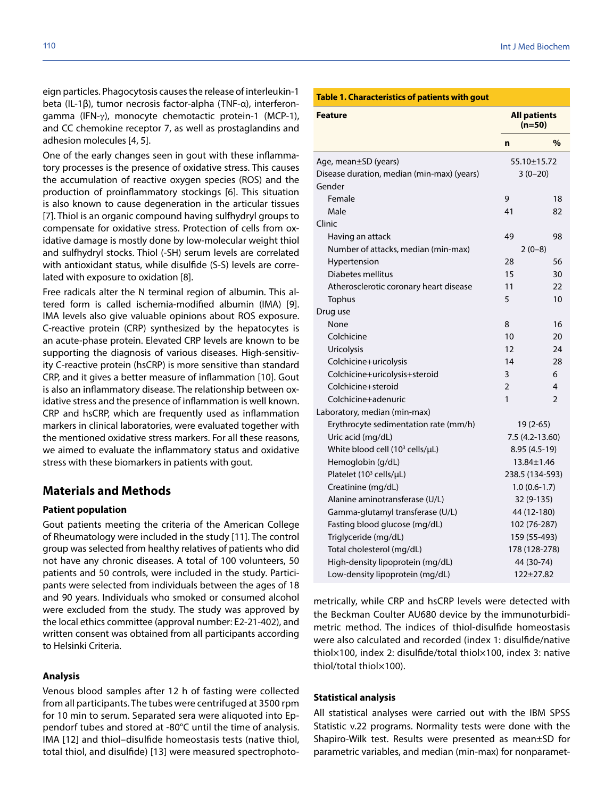eign particles. Phagocytosis causes the release of interleukin-1 beta (IL-1β), tumor necrosis factor-alpha (TNF-α), interferon $gamma$  (IFN- $\gamma$ ), monocyte chemotactic protein-1 (MCP-1), and CC chemokine receptor 7, as well as prostaglandins and adhesion molecules [4, 5].

One of the early changes seen in gout with these inflammatory processes is the presence of oxidative stress. This causes the accumulation of reactive oxygen species (ROS) and the production of proinflammatory stockings [6]. This situation is also known to cause degeneration in the articular tissues [7]. Thiol is an organic compound having sulfhydryl groups to compensate for oxidative stress. Protection of cells from oxidative damage is mostly done by low-molecular weight thiol and sulfhydryl stocks. Thiol (-SH) serum levels are correlated with antioxidant status, while disulfide (S-S) levels are correlated with exposure to oxidation [8].

Free radicals alter the N terminal region of albumin. This altered form is called ischemia-modified albumin (IMA) [9]. IMA levels also give valuable opinions about ROS exposure. C-reactive protein (CRP) synthesized by the hepatocytes is an acute-phase protein. Elevated CRP levels are known to be supporting the diagnosis of various diseases. High-sensitivity C-reactive protein (hsCRP) is more sensitive than standard CRP, and it gives a better measure of inflammation [10]. Gout is also an inflammatory disease. The relationship between oxidative stress and the presence of inflammation is well known. CRP and hsCRP, which are frequently used as inflammation markers in clinical laboratories, were evaluated together with the mentioned oxidative stress markers. For all these reasons, we aimed to evaluate the inflammatory status and oxidative stress with these biomarkers in patients with gout.

# **Materials and Methods**

# **Patient population**

Gout patients meeting the criteria of the American College of Rheumatology were included in the study [11]. The control group was selected from healthy relatives of patients who did not have any chronic diseases. A total of 100 volunteers, 50 patients and 50 controls, were included in the study. Participants were selected from individuals between the ages of 18 and 90 years. Individuals who smoked or consumed alcohol were excluded from the study. The study was approved by the local ethics committee (approval number: E2-21-402), and written consent was obtained from all participants according to Helsinki Criteria.

# **Analysis**

Venous blood samples after 12 h of fasting were collected from all participants. The tubes were centrifuged at 3500 rpm for 10 min to serum. Separated sera were aliquoted into Eppendorf tubes and stored at -80°C until the time of analysis. IMA [12] and thiol–disulfide homeostasis tests (native thiol, total thiol, and disulfide) [13] were measured spectrophoto-

#### **Table 1. Characteristics of patients with gout**

| <b>Feature</b>                              | <b>All patients</b><br>$(n=50)$ |                |
|---------------------------------------------|---------------------------------|----------------|
|                                             | $\mathbf n$                     | %              |
| Age, mean±SD (years)                        | 55.10±15.72                     |                |
| Disease duration, median (min-max) (years)  | $3(0-20)$                       |                |
| Gender                                      |                                 |                |
| Female                                      | 9                               | 18             |
| Male                                        | 41                              | 82             |
| Clinic                                      |                                 |                |
| Having an attack                            | 49                              | 98             |
| Number of attacks, median (min-max)         | $2(0-8)$                        |                |
| Hypertension                                | 28                              | 56             |
| Diabetes mellitus                           | 15                              | 30             |
| Atherosclerotic coronary heart disease      | 11                              | 22             |
| Tophus                                      | 5                               | 10             |
| Drug use                                    |                                 |                |
| None                                        | 8                               | 16             |
| Colchicine                                  | 10                              | 20             |
| Uricolysis                                  | 12                              | 24             |
| Colchicine+uricolysis                       | 14                              | 28             |
| Colchicine+uricolysis+steroid               | 3                               | 6              |
| Colchicine+steroid                          | $\overline{2}$                  | 4              |
| Colchicine+adenuric                         | $\mathbf{1}$                    | $\overline{2}$ |
| Laboratory, median (min-max)                |                                 |                |
| Erythrocyte sedimentation rate (mm/h)       | 19 (2-65)                       |                |
| Uric acid (mg/dL)                           | 7.5 (4.2-13.60)                 |                |
| White blood cell (10 <sup>3</sup> cells/µL) | 8.95 (4.5-19)                   |                |
| Hemoglobin (g/dL)                           | 13.84±1.46                      |                |
| Platelet (10 <sup>3</sup> cells/µL)         | 238.5 (134-593)                 |                |
| Creatinine (mg/dL)                          | $1.0(0.6-1.7)$                  |                |
| Alanine aminotransferase (U/L)              | 32 (9-135)                      |                |
| Gamma-glutamyl transferase (U/L)            | 44 (12-180)                     |                |
| Fasting blood glucose (mg/dL)               | 102 (76-287)                    |                |
| Triglyceride (mg/dL)                        | 159 (55-493)                    |                |
| Total cholesterol (mg/dL)                   | 178 (128-278)                   |                |
| High-density lipoprotein (mg/dL)            | 44 (30-74)                      |                |
| Low-density lipoprotein (mg/dL)             | $122 + 27.82$                   |                |

metrically, while CRP and hsCRP levels were detected with the Beckman Coulter AU680 device by the immunoturbidimetric method. The indices of thiol-disulfide homeostasis were also calculated and recorded (index 1: disulfide/native thiol×100, index 2: disulfide/total thiol×100, index 3: native thiol/total thiol×100).

#### **Statistical analysis**

All statistical analyses were carried out with the IBM SPSS Statistic v.22 programs. Normality tests were done with the Shapiro-Wilk test. Results were presented as mean±SD for parametric variables, and median (min-max) for nonparamet-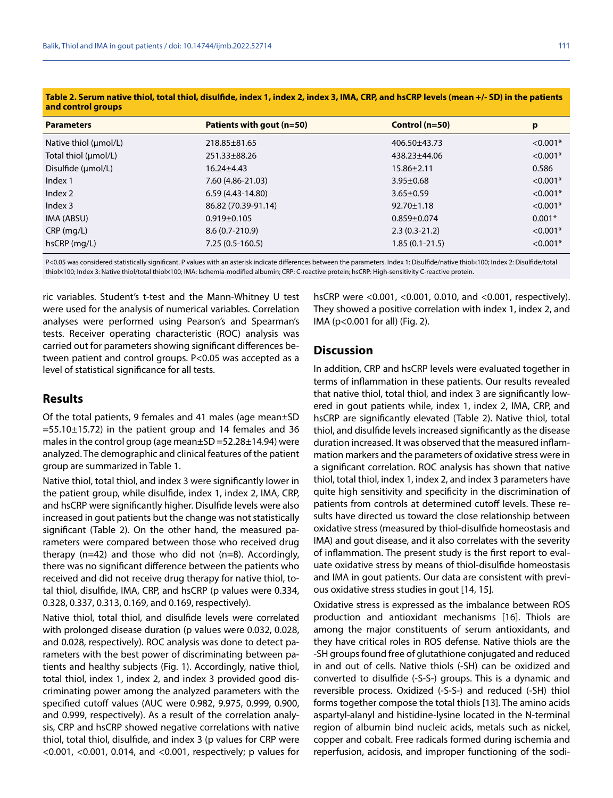| <u>and control groups</u> |                           |                   |            |
|---------------------------|---------------------------|-------------------|------------|
| <b>Parameters</b>         | Patients with gout (n=50) | Control $(n=50)$  | p          |
| Native thiol (µmol/L)     | $218.85 \pm 81.65$        | 406.50±43.73      | $< 0.001*$ |
| Total thiol (µmol/L)      | 251.33±88.26              | 438.23±44.06      | $< 0.001*$ |
| Disulfide (µmol/L)        | $16.24 \pm 4.43$          | $15.86 \pm 2.11$  | 0.586      |
| Index 1                   | 7.60 (4.86-21.03)         | $3.95 \pm 0.68$   | $< 0.001*$ |
| Index 2                   | 6.59 (4.43-14.80)         | $3.65 \pm 0.59$   | $< 0.001*$ |
| Index 3                   | 86.82 (70.39-91.14)       | $92.70 \pm 1.18$  | $< 0.001*$ |
| IMA (ABSU)                | $0.919 \pm 0.105$         | $0.859 \pm 0.074$ | $0.001*$   |
| $CRP$ (mg/L)              | $8.6(0.7-210.9)$          | $2.3(0.3-21.2)$   | $< 0.001*$ |
| $hsCRP$ (mg/L)            | $7.25(0.5-160.5)$         | $1.85(0.1-21.5)$  | $< 0.001*$ |
|                           |                           |                   |            |

**Table 2. Serum native thiol, total thiol, disulfide, index 1, index 2, index 3, IMA, CRP, and hsCRP levels (mean +/- SD) in the patients and control groups**

P<0.05 was considered statistically significant. P values with an asterisk indicate differences between the parameters. Index 1: Disulfide/native thiol×100; Index 2: Disulfide/total thiol×100; Index 3: Native thiol/total thiol×100; IMA: Ischemia-modified albumin; CRP: C-reactive protein; hsCRP: High-sensitivity C-reactive protein.

ric variables. Student's t-test and the Mann-Whitney U test were used for the analysis of numerical variables. Correlation analyses were performed using Pearson's and Spearman's tests. Receiver operating characteristic (ROC) analysis was carried out for parameters showing significant differences between patient and control groups. P<0.05 was accepted as a level of statistical significance for all tests.

# **Results**

Of the total patients, 9 females and 41 males (age mean±SD  $=55.10\pm15.72$ ) in the patient group and 14 females and 36 males in the control group (age mean±SD =52.28±14.94) were analyzed. The demographic and clinical features of the patient group are summarized in Table 1.

Native thiol, total thiol, and index 3 were significantly lower in the patient group, while disulfide, index 1, index 2, IMA, CRP, and hsCRP were significantly higher. Disulfide levels were also increased in gout patients but the change was not statistically significant (Table 2). On the other hand, the measured parameters were compared between those who received drug therapy (n=42) and those who did not (n=8). Accordingly, there was no significant difference between the patients who received and did not receive drug therapy for native thiol, total thiol, disulfide, IMA, CRP, and hsCRP (p values were 0.334, 0.328, 0.337, 0.313, 0.169, and 0.169, respectively).

Native thiol, total thiol, and disulfide levels were correlated with prolonged disease duration (p values were 0.032, 0.028, and 0.028, respectively). ROC analysis was done to detect parameters with the best power of discriminating between patients and healthy subjects (Fig. 1). Accordingly, native thiol, total thiol, index 1, index 2, and index 3 provided good discriminating power among the analyzed parameters with the specified cutoff values (AUC were 0.982, 9.975, 0.999, 0.900, and 0.999, respectively). As a result of the correlation analysis, CRP and hsCRP showed negative correlations with native thiol, total thiol, disulfide, and index 3 (p values for CRP were <0.001, <0.001, 0.014, and <0.001, respectively; p values for

hsCRP were <0.001, <0.001, 0.010, and <0.001, respectively). They showed a positive correlation with index 1, index 2, and IMA (p<0.001 for all) (Fig. 2).

# **Discussion**

In addition, CRP and hsCRP levels were evaluated together in terms of inflammation in these patients. Our results revealed that native thiol, total thiol, and index 3 are significantly lowered in gout patients while, index 1, index 2, IMA, CRP, and hsCRP are significantly elevated (Table 2). Native thiol, total thiol, and disulfide levels increased significantly as the disease duration increased. It was observed that the measured inflammation markers and the parameters of oxidative stress were in a significant correlation. ROC analysis has shown that native thiol, total thiol, index 1, index 2, and index 3 parameters have quite high sensitivity and specificity in the discrimination of patients from controls at determined cutoff levels. These results have directed us toward the close relationship between oxidative stress (measured by thiol-disulfide homeostasis and IMA) and gout disease, and it also correlates with the severity of inflammation. The present study is the first report to evaluate oxidative stress by means of thiol-disulfide homeostasis and IMA in gout patients. Our data are consistent with previous oxidative stress studies in gout [14, 15].

Oxidative stress is expressed as the imbalance between ROS production and antioxidant mechanisms [16]. Thiols are among the major constituents of serum antioxidants, and they have critical roles in ROS defense. Native thiols are the -SH groups found free of glutathione conjugated and reduced in and out of cells. Native thiols (-SH) can be oxidized and converted to disulfide (-S-S-) groups. This is a dynamic and reversible process. Oxidized (-S-S-) and reduced (-SH) thiol forms together compose the total thiols [13]. The amino acids aspartyl-alanyl and histidine-lysine located in the N-terminal region of albumin bind nucleic acids, metals such as nickel, copper and cobalt. Free radicals formed during ischemia and reperfusion, acidosis, and improper functioning of the sodi-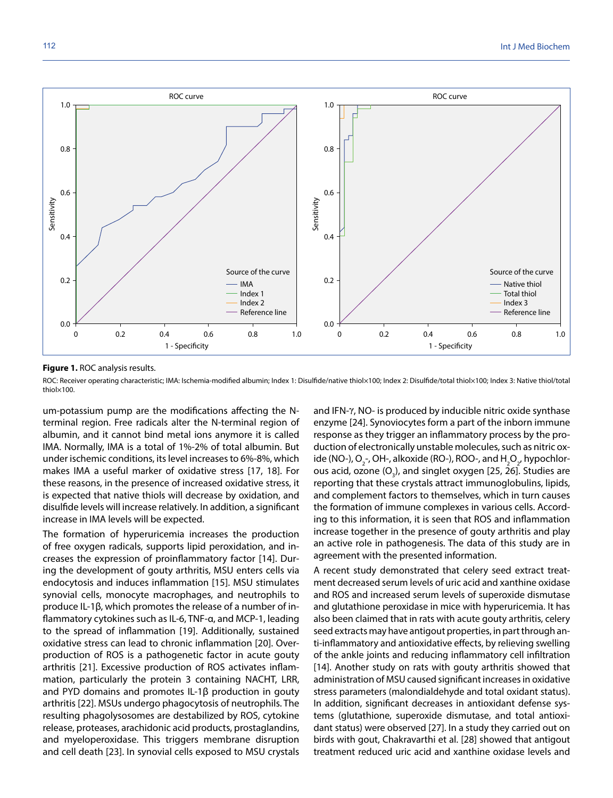

#### **Figure 1.** ROC analysis results.

ROC: Receiver operating characteristic; IMA: Ischemia-modified albumin; Index 1: Disulfide/native thiol×100; Index 2: Disulfide/total thiol×100; Index 3: Native thiol/total<br>thiol×100

um-potassium pump are the modifications affecting the Nterminal region. Free radicals alter the N-terminal region of albumin, and it cannot bind metal ions anymore it is called IMA. Normally, IMA is a total of 1%-2% of total albumin. But under ischemic conditions, its level increases to 6%-8%, which makes IMA a useful marker of oxidative stress [17, 18]. For these reasons, in the presence of increased oxidative stress, it is expected that native thiols will decrease by oxidation, and disulfide levels will increase relatively. In addition, a significant increase in IMA levels will be expected.

The formation of hyperuricemia increases the production of free oxygen radicals, supports lipid peroxidation, and increases the expression of proinflammatory factor [14]. During the development of gouty arthritis, MSU enters cells via endocytosis and induces inflammation [15]. MSU stimulates synovial cells, monocyte macrophages, and neutrophils to produce IL-1β, which promotes the release of a number of inflammatory cytokines such as IL-6, TNF-α, and MCP-1, leading to the spread of inflammation [19]. Additionally, sustained oxidative stress can lead to chronic inflammation [20]. Overproduction of ROS is a pathogenetic factor in acute gouty arthritis [21]. Excessive production of ROS activates inflammation, particularly the protein 3 containing NACHT, LRR, and PYD domains and promotes IL-1β production in gouty arthritis [22]. MSUs undergo phagocytosis of neutrophils. The resulting phagolysosomes are destabilized by ROS, cytokine release, proteases, arachidonic acid products, prostaglandins, and myeloperoxidase. This triggers membrane disruption and cell death [23]. In synovial cells exposed to MSU crystals and IFN- $\gamma$ , NO- is produced by inducible nitric oxide synthase enzyme [24]. Synoviocytes form a part of the inborn immune response as they trigger an inflammatory process by the production of electronically unstable molecules, such as nitric oxide (NO-), O<sub>2</sub>-, OH-, alkoxide (RO-), ROO-, and H<sub>2</sub>O<sub>2</sub>, hypochlorous acid, ozone  $(O_3)$ , and singlet oxygen [25, 26]. Studies are reporting that these crystals attract immunoglobulins, lipids, and complement factors to themselves, which in turn causes the formation of immune complexes in various cells. According to this information, it is seen that ROS and inflammation increase together in the presence of gouty arthritis and play an active role in pathogenesis. The data of this study are in agreement with the presented information.

A recent study demonstrated that celery seed extract treatment decreased serum levels of uric acid and xanthine oxidase and ROS and increased serum levels of superoxide dismutase and glutathione peroxidase in mice with hyperuricemia. It has also been claimed that in rats with acute gouty arthritis, celery seed extracts may have antigout properties, in part through anti-inflammatory and antioxidative effects, by relieving swelling of the ankle joints and reducing inflammatory cell infiltration [14]. Another study on rats with gouty arthritis showed that administration of MSU caused significant increases in oxidative stress parameters (malondialdehyde and total oxidant status). In addition, significant decreases in antioxidant defense systems (glutathione, superoxide dismutase, and total antioxidant status) were observed [27]. In a study they carried out on birds with gout, Chakravarthi et al. [28] showed that antigout treatment reduced uric acid and xanthine oxidase levels and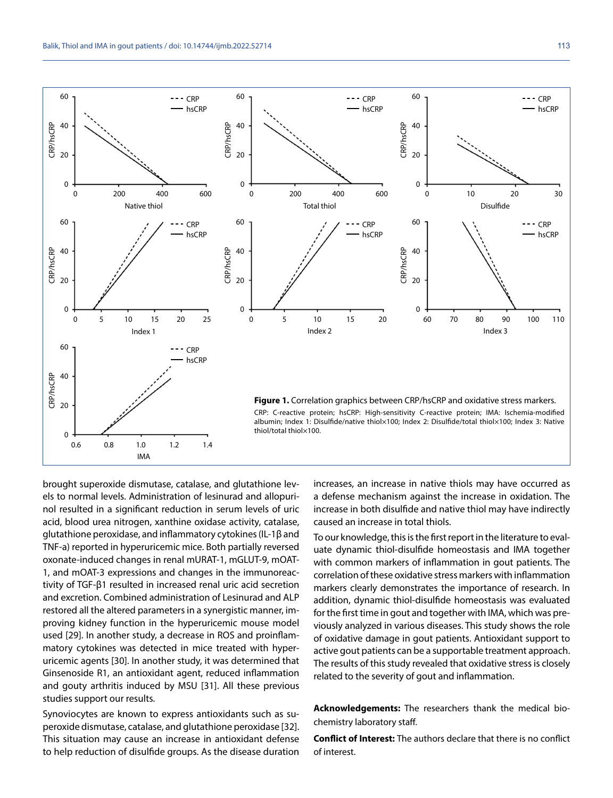

brought superoxide dismutase, catalase, and glutathione levels to normal levels. Administration of lesinurad and allopurinol resulted in a significant reduction in serum levels of uric acid, blood urea nitrogen, xanthine oxidase activity, catalase, glutathione peroxidase, and inflammatory cytokines (IL-1β and TNF-a) reported in hyperuricemic mice. Both partially reversed oxonate-induced changes in renal mURAT-1, mGLUT-9, mOAT-1, and mOAT-3 expressions and changes in the immunoreactivity of TGF-β1 resulted in increased renal uric acid secretion and excretion. Combined administration of Lesinurad and ALP restored all the altered parameters in a synergistic manner, improving kidney function in the hyperuricemic mouse model used [29]. In another study, a decrease in ROS and proinflammatory cytokines was detected in mice treated with hyperuricemic agents [30]. In another study, it was determined that Ginsenoside R1, an antioxidant agent, reduced inflammation and gouty arthritis induced by MSU [31]. All these previous studies support our results.

Synoviocytes are known to express antioxidants such as superoxide dismutase, catalase, and glutathione peroxidase [32]. This situation may cause an increase in antioxidant defense to help reduction of disulfide groups. As the disease duration increases, an increase in native thiols may have occurred as a defense mechanism against the increase in oxidation. The increase in both disulfide and native thiol may have indirectly caused an increase in total thiols.

To our knowledge, this is the first report in the literature to evaluate dynamic thiol-disulfide homeostasis and IMA together with common markers of inflammation in gout patients. The correlation of these oxidative stress markers with inflammation markers clearly demonstrates the importance of research. In addition, dynamic thiol-disulfide homeostasis was evaluated for the first time in gout and together with IMA, which was previously analyzed in various diseases. This study shows the role of oxidative damage in gout patients. Antioxidant support to active gout patients can be a supportable treatment approach. The results of this study revealed that oxidative stress is closely related to the severity of gout and inflammation.

**Acknowledgements:** The researchers thank the medical biochemistry laboratory staff.

**Conflict of Interest:** The authors declare that there is no conflict of interest.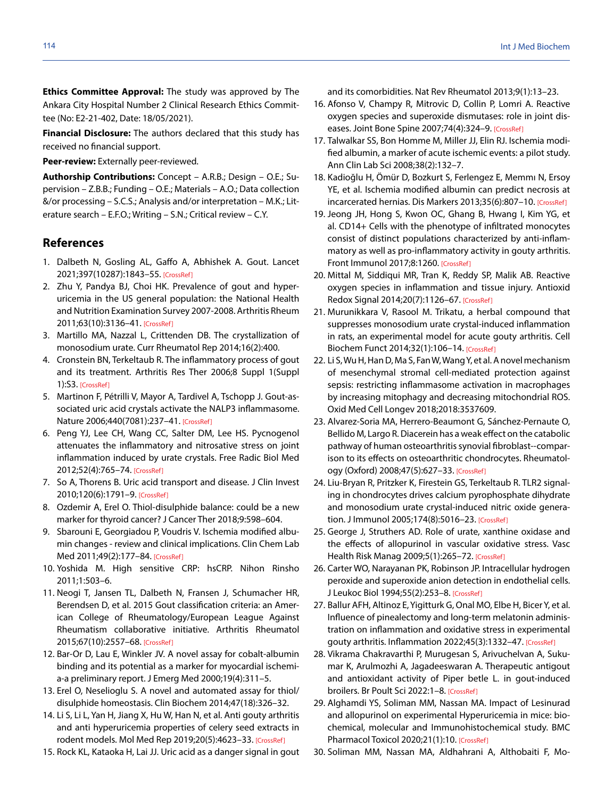**Ethics Committee Approval:** The study was approved by The Ankara City Hospital Number 2 Clinical Research Ethics Committee (No: E2-21-402, Date: 18/05/2021).

**Financial Disclosure:** The authors declared that this study has received no financial support.

**Peer-review:** Externally peer-reviewed.

**Authorship Contributions:** Concept – A.R.B.; Design – O.E.; Supervision – Z.B.B.; Funding – O.E.; Materials – A.O.; Data collection &/or processing – S.C.S.; Analysis and/or interpretation – M.K.; Literature search – E.F.O.; Writing – S.N.; Critical review – C.Y.

# **References**

- 1. Dalbeth N, Gosling AL, Gaffo A, Abhishek A. Gout. Lancet 2021;397(10287):1843–55[. \[CrossRef\]](https://doi.org/10.1016/S0140-6736(21)00569-9)
- 2. Zhu Y, Pandya BJ, Choi HK. Prevalence of gout and hyperuricemia in the US general population: the National Health and Nutrition Examination Survey 2007-2008. Arthritis Rheum 2011;63(10):3136–4[1. \[CrossRef\]](https://doi.org/10.1002/art.30520)
- 3. Martillo MA, Nazzal L, Crittenden DB. The crystallization of monosodium urate. Curr Rheumatol Rep 2014;16(2):400.
- 4. Cronstein BN, Terkeltaub R. The inflammatory process of gout and its treatment. Arthritis Res Ther 2006;8 Suppl 1(Suppl 1):S[3. \[CrossRef\]](https://doi.org/10.1186/ar1908)
- 5. Martinon F, Pétrilli V, Mayor A, Tardivel A, Tschopp J. Gout-associated uric acid crystals activate the NALP3 inflammasome. Nature 2006;440(7081):237-41. [CrossRef]
- 6. Peng YJ, Lee CH, Wang CC, Salter DM, Lee HS. Pycnogenol attenuates the inflammatory and nitrosative stress on joint inflammation induced by urate crystals. Free Radic Biol Med 2012;52(4):765–7[4. \[CrossRef\]](https://doi.org/10.1016/j.freeradbiomed.2011.12.003)
- 7. So A, Thorens B. Uric acid transport and disease. J Clin Invest 2010;120(6):1791–[9. \[CrossRef\]](https://doi.org/10.1172/JCI42344)
- 8. Ozdemir A, Erel O. Thiol-disulphide balance: could be a new marker for thyroid cancer? J Cancer Ther 2018;9:598–604.
- 9. Sbarouni E, Georgiadou P, Voudris V. Ischemia modified albumin changes - review and clinical implications. Clin Chem Lab Med 2011;49(2):177-8[4. \[CrossRef\]](https://doi.org/10.1515/CCLM.2011.037)
- 10. Yoshida M. High sensitive CRP: hsCRP. Nihon Rinsho 2011;1:503–6.
- 11. Neogi T, Jansen TL, Dalbeth N, Fransen J, Schumacher HR, Berendsen D, et al. 2015 Gout classification criteria: an American College of Rheumatology/European League Against Rheumatism collaborative initiative. Arthritis Rheumatol 2015;67(10):2557–[68. \[CrossRef\]](https://doi.org/10.1002/art.39254)
- 12. Bar-Or D, Lau E, Winkler JV. A novel assay for cobalt-albumin binding and its potential as a marker for myocardial ischemia-a preliminary report. J Emerg Med 2000;19(4):311–5.
- 13. Erel O, Neselioglu S. A novel and automated assay for thiol/ disulphide homeostasis. Clin Biochem 2014;47(18):326–32.
- 14. Li S, Li L, Yan H, Jiang X, Hu W, Han N, et al. Anti gouty arthritis and anti hyperuricemia properties of celery seed extracts in rodent models. Mol Med Rep 2019;20(5):4623–3[3. \[CrossRef\]](https://doi.org/10.3892/mmr.2019.10708)
- 15. Rock KL, Kataoka H, Lai JJ. Uric acid as a danger signal in gout

and its comorbidities. Nat Rev Rheumatol 2013;9(1):13–23.

- 16. Afonso V, Champy R, Mitrovic D, Collin P, Lomri A. Reactive oxygen species and superoxide dismutases: role in joint diseases. Joint Bone Spine 2007;74(4):324-9. [CrossRef]
- 17. Talwalkar SS, Bon Homme M, Miller JJ, Elin RJ. Ischemia modified albumin, a marker of acute ischemic events: a pilot study. Ann Clin Lab Sci 2008;38(2):132–7.
- 18. Kadioğlu H, Ömür D, Bozkurt S, Ferlengez E, Memmı N, Ersoy YE, et al. Ischemia modified albumin can predict necrosis at incarcerated hernias. Dis Markers 2013;35(6):807-1[0. \[CrossRef\]](https://doi.org/10.1155/2013/185425)
- 19. Jeong JH, Hong S, Kwon OC, Ghang B, Hwang I, Kim YG, et al. CD14+ Cells with the phenotype of infiltrated monocytes consist of distinct populations characterized by anti-inflammatory as well as pro-inflammatory activity in gouty arthritis. Front Immunol 2017;8:126[0. \[CrossRef\]](https://doi.org/10.3389/fimmu.2017.01260)
- 20. Mittal M, Siddiqui MR, Tran K, Reddy SP, Malik AB. Reactive oxygen species in inflammation and tissue injury. Antioxid Redox Signal 2014;20(7):1126–6[7. \[CrossRef\]](https://doi.org/10.1089/ars.2012.5149)
- 21. Murunikkara V, Rasool M. Trikatu, a herbal compound that suppresses monosodium urate crystal-induced inflammation in rats, an experimental model for acute gouty arthritis. Cell Biochem Funct 2014;32(1):106–1[4. \[CrossRef\]](https://doi.org/10.1002/cbf.2979)
- 22. Li S, Wu H, Han D, Ma S, Fan W, Wang Y, et al. A novel mechanism of mesenchymal stromal cell-mediated protection against sepsis: restricting inflammasome activation in macrophages by increasing mitophagy and decreasing mitochondrial ROS. Oxid Med Cell Longev 2018;2018:3537609.
- 23. Alvarez-Soria MA, Herrero-Beaumont G, Sánchez-Pernaute O, Bellido M, Largo R. Diacerein has a weak effect on the catabolic pathway of human osteoarthritis synovial fibroblast--comparison to its effects on osteoarthritic chondrocytes. Rheumatology (Oxford) 2008;47(5):627–3[3. \[CrossRef\]](https://doi.org/10.1093/rheumatology/ken116)
- 24. Liu-Bryan R, Pritzker K, Firestein GS, Terkeltaub R. TLR2 signaling in chondrocytes drives calcium pyrophosphate dihydrate and monosodium urate crystal-induced nitric oxide generation. J Immunol 2005;174(8):5016–23[. \[CrossRef\]](https://doi.org/10.4049/jimmunol.174.8.5016)
- 25. George J, Struthers AD. Role of urate, xanthine oxidase and the effects of allopurinol in vascular oxidative stress. Vasc Health Risk Manag 2009;5(1):265–72. [\[CrossRef\]](https://doi.org/10.2147/VHRM.S4265)
- 26. Carter WO, Narayanan PK, Robinson JP. Intracellular hydrogen peroxide and superoxide anion detection in endothelial cells. J Leukoc Biol 1994;55(2):253–[8. \[CrossRef\]](https://doi.org/10.1002/jlb.55.2.253)
- 27. Ballur AFH, Altinoz E, Yigitturk G, Onal MO, Elbe H, Bicer Y, et al. Influence of pinealectomy and long-term melatonin administration on inflammation and oxidative stress in experimental gouty arthritis. Inflammation 2022;45(3):1332-[47. \[CrossRef\]](https://doi.org/10.1007/s10753-022-01623-2)
- 28. Vikrama Chakravarthi P, Murugesan S, Arivuchelvan A, Sukumar K, Arulmozhi A, Jagadeeswaran A. Therapeutic antigout and antioxidant activity of Piper betle L. in gout-induced broilers. Br Poult Sci 2022:1–[8. \[CrossRef\]](https://doi.org/10.1080/00071668.2021.1998365)
- 29. Alghamdi YS, Soliman MM, Nassan MA. Impact of Lesinurad and allopurinol on experimental Hyperuricemia in mice: biochemical, molecular and Immunohistochemical study. BMC Pharmacol Toxicol 2020;21(1):1[0. \[CrossRef\]](https://doi.org/10.1186/s40360-020-0386-7)
- 30. Soliman MM, Nassan MA, Aldhahrani A, Althobaiti F, Mo-